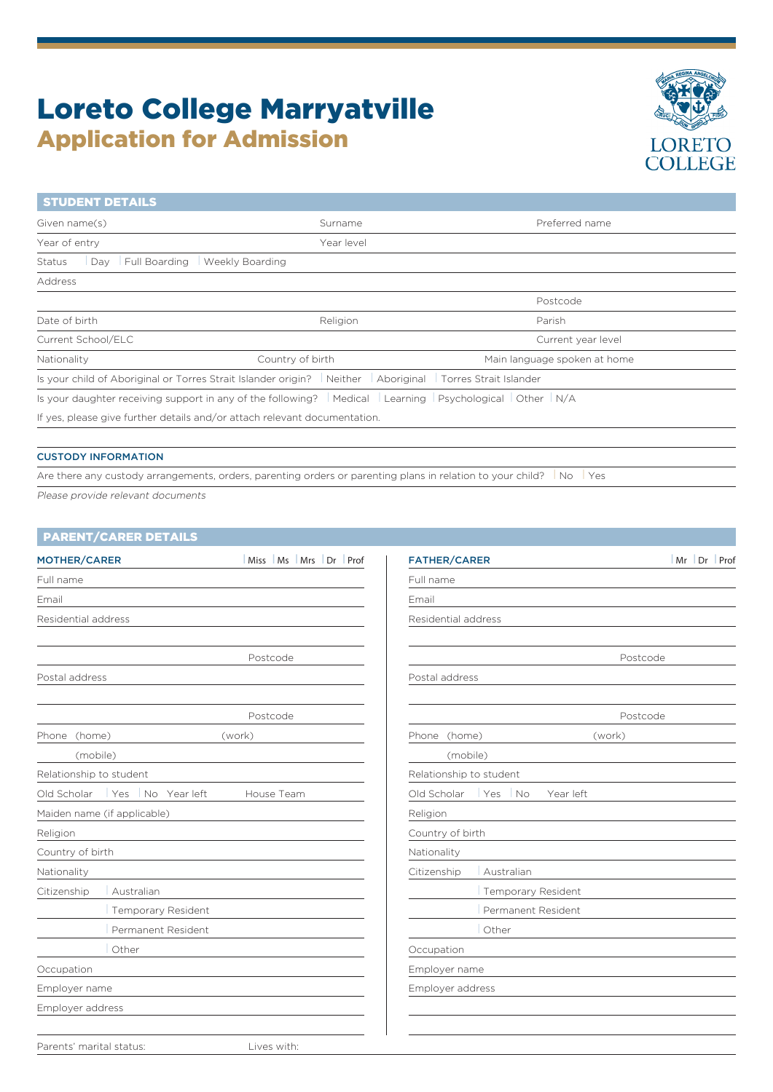# Loreto College Marryatville Application for Admission



| <b>STUDENT DETAILS</b>                                                                                  |                                                                                                                |                              |  |
|---------------------------------------------------------------------------------------------------------|----------------------------------------------------------------------------------------------------------------|------------------------------|--|
| Given name(s)                                                                                           | Surname                                                                                                        | Preferred name               |  |
| Year of entry                                                                                           | Year level                                                                                                     |                              |  |
| Day Full Boarding<br>Status                                                                             | Weekly Boarding                                                                                                |                              |  |
| Address                                                                                                 |                                                                                                                |                              |  |
|                                                                                                         |                                                                                                                | Postcode                     |  |
| Date of birth                                                                                           | Religion                                                                                                       | Parish                       |  |
| Current School/ELC                                                                                      |                                                                                                                | Current year level           |  |
| Nationality                                                                                             | Country of birth                                                                                               | Main language spoken at home |  |
| Is your child of Aboriginal or Torres Strait Islander origin? Neither Aboriginal Torres Strait Islander |                                                                                                                |                              |  |
|                                                                                                         | Is your daughter receiving support in any of the following?   Medical   Learning   Psychological   Other   N/A |                              |  |
| If yes, please give further details and/or attach relevant documentation.                               |                                                                                                                |                              |  |
|                                                                                                         |                                                                                                                |                              |  |

### CUSTODY INFORMATION

Are there any custody arrangements, orders, parenting orders or parenting plans in relation to your child?  $\Box$  No  $\Box$  Yes Please provide relevant documents

| MOTHER/CARER                     | Miss Ms Mrs Dr Prof | <b>FATHER/CARER</b>                 | Mr Dr Prof |
|----------------------------------|---------------------|-------------------------------------|------------|
| Full name                        |                     | Full name                           |            |
| Email                            |                     | Email                               |            |
| Residential address              |                     | Residential address                 |            |
|                                  | Postcode            |                                     | Postcode   |
| Postal address                   |                     | Postal address                      |            |
|                                  | Postcode            |                                     | Postcode   |
| Phone (home)                     | (work)              | Phone (home)                        | (work)     |
| (mobile)                         |                     | (mobile)                            |            |
| Relationship to student          |                     | Relationship to student             |            |
| Old Scholar   Yes   No Year left | House Team          | Old Scholar   Yes   No<br>Year left |            |
| Maiden name (if applicable)      |                     | Religion                            |            |
| Religion                         |                     | Country of birth                    |            |
| Country of birth                 |                     | Nationality                         |            |
| Nationality                      |                     | Citizenship<br>Australian           |            |
| Citizenship<br>Australian        |                     | Temporary Resident                  |            |
| Temporary Resident               |                     | Permanent Resident                  |            |
| Permanent Resident               |                     | Other                               |            |
| Other                            |                     | Occupation                          |            |
| Occupation                       |                     | Employer name                       |            |
| Employer name                    |                     | Employer address                    |            |
| Employer address                 |                     |                                     |            |
|                                  |                     |                                     |            |
| Parents' marital status:         | Lives with:         |                                     |            |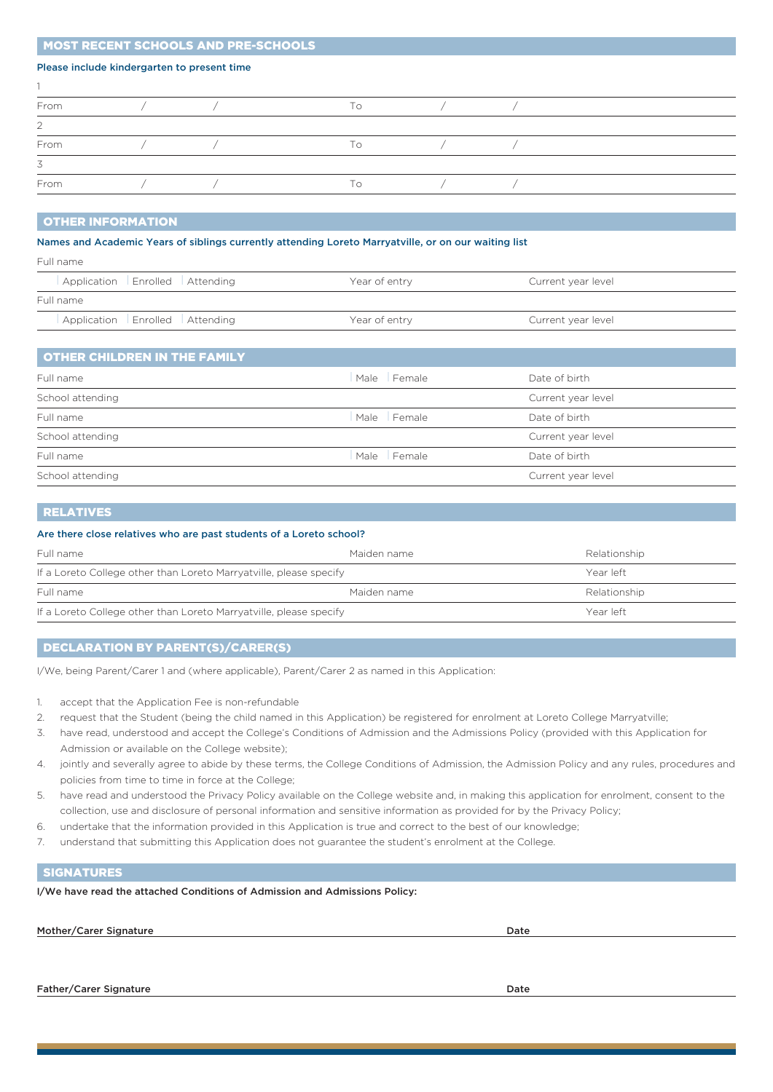## MOST RECENT SCHOOLS AND PRE-SCHOOLS

## Please include kindergarten to present time

|  | To |  |  |
|--|----|--|--|
|  |    |  |  |
|  | To |  |  |
|  |    |  |  |
|  | To |  |  |
|  |    |  |  |

#### OTHER INFORMATION

#### Names and Academic Years of siblings currently attending Loreto Marryatville, or on our waiting list

| Full name                      |               |                    |
|--------------------------------|---------------|--------------------|
| Application Enrolled Attending | Year of entry | Current year level |
| Full name                      |               |                    |
| Application Enrolled Attending | Year of entry | Current year level |

# OTHER CHILDREN IN THE FAMILY

| Full name        | Male Female | Date of birth      |
|------------------|-------------|--------------------|
| School attending |             | Current year level |
| Full name        | Male Female | Date of birth      |
| School attending |             | Current year level |
| Full name        | Male Female | Date of birth      |
| School attending |             | Current year level |
|                  |             |                    |

## RELATIVES

#### Are there close relatives who are past students of a Loreto school?

| Full name                                                          | Maiden name | Relationship |
|--------------------------------------------------------------------|-------------|--------------|
| If a Loreto College other than Loreto Marryatville, please specify | Year left   |              |
| Full name                                                          | Maiden name | Relationship |
| If a Loreto College other than Loreto Marryatville, please specify |             | Year left    |

## DECLARATION BY PARENT(S)/CARER(S)

I/We, being Parent/Carer 1 and (where applicable), Parent/Carer 2 as named in this Application:

- 1. accept that the Application Fee is non-refundable
- 2. request that the Student (being the child named in this Application) be registered for enrolment at Loreto College Marryatville;
- 3. have read, understood and accept the College's Conditions of Admission and the Admissions Policy (provided with this Application for Admission or available on the College website);
- 4. jointly and severally agree to abide by these terms, the College Conditions of Admission, the Admission Policy and any rules, procedures and policies from time to time in force at the College;
- 5. have read and understood the Privacy Policy available on the College website and, in making this application for enrolment, consent to the collection, use and disclosure of personal information and sensitive information as provided for by the Privacy Policy;
- 6. undertake that the information provided in this Application is true and correct to the best of our knowledge;
- 7. understand that submitting this Application does not guarantee the student's enrolment at the College.

## **SIGNATURES**

I/We have read the attached Conditions of Admission and Admissions Policy:

Mother/Carer Signature Date Date of the United States of the United States of the Date Date Date

Father/Carer Signature Date Date of the United States of the United States of Date Date of the United States of Date